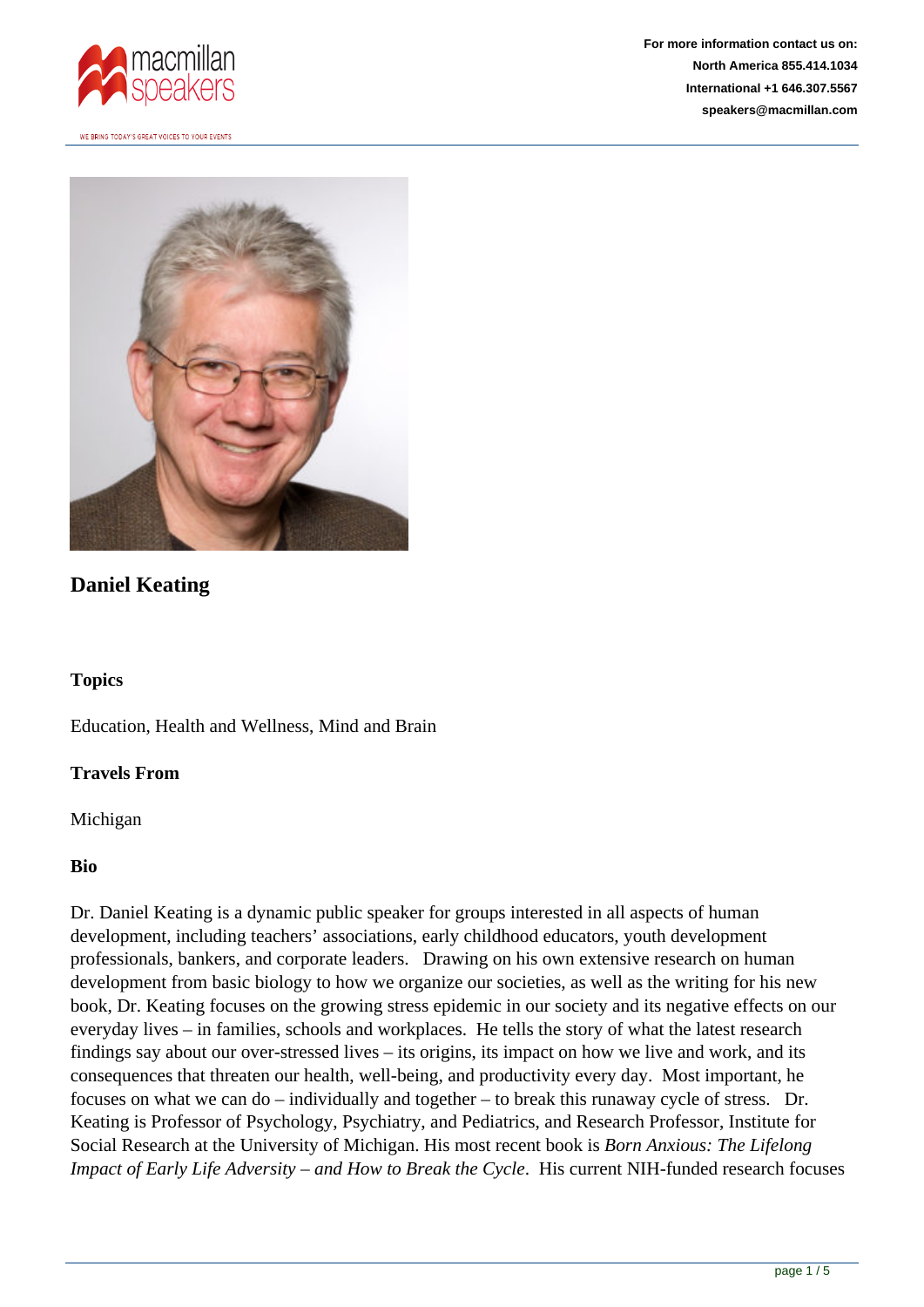



# **Daniel Keating**

### **Topics**

Education, Health and Wellness, Mind and Brain

### **Travels From**

Michigan

### **Bio**

Dr. Daniel Keating is a dynamic public speaker for groups interested in all aspects of human development, including teachers' associations, early childhood educators, youth development professionals, bankers, and corporate leaders. Drawing on his own extensive research on human development from basic biology to how we organize our societies, as well as the writing for his new book, Dr. Keating focuses on the growing stress epidemic in our society and its negative effects on our everyday lives – in families, schools and workplaces. He tells the story of what the latest research findings say about our over-stressed lives – its origins, its impact on how we live and work, and its consequences that threaten our health, well-being, and productivity every day. Most important, he focuses on what we can do – individually and together – to break this runaway cycle of stress. Dr. Keating is Professor of Psychology, Psychiatry, and Pediatrics, and Research Professor, Institute for Social Research at the University of Michigan. His most recent book is *Born Anxious: The Lifelong Impact of Early Life Adversity – and How to Break the Cycle*. His current NIH-funded research focuses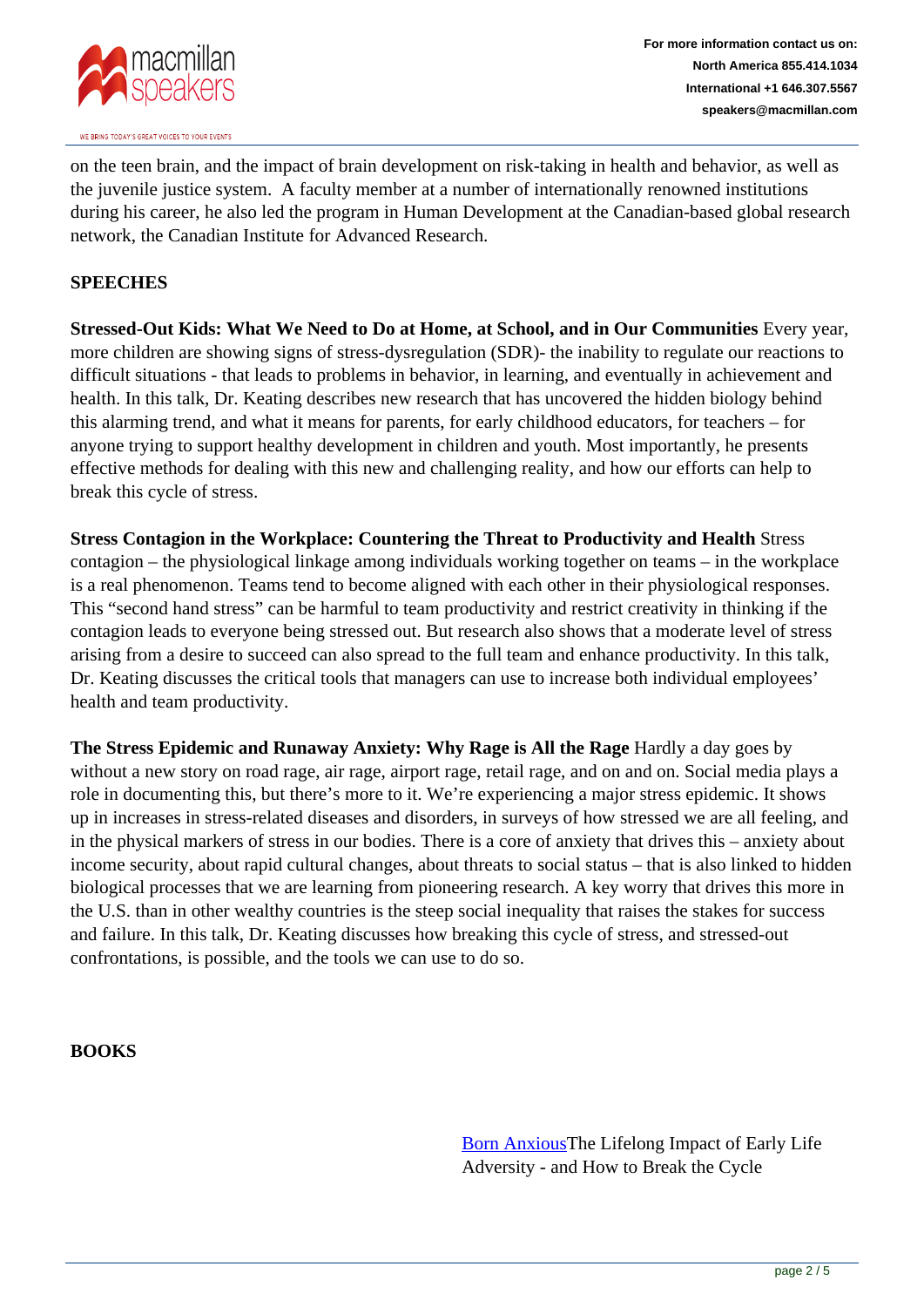

on the teen brain, and the impact of brain development on risk-taking in health and behavior, as well as the juvenile justice system. A faculty member at a number of internationally renowned institutions during his career, he also led the program in Human Development at the Canadian-based global research network, the Canadian Institute for Advanced Research.

## **SPEECHES**

**Stressed-Out Kids: What We Need to Do at Home, at School, and in Our Communities** Every year, more children are showing signs of stress-dysregulation (SDR)- the inability to regulate our reactions to difficult situations - that leads to problems in behavior, in learning, and eventually in achievement and health. In this talk, Dr. Keating describes new research that has uncovered the hidden biology behind this alarming trend, and what it means for parents, for early childhood educators, for teachers – for anyone trying to support healthy development in children and youth. Most importantly, he presents effective methods for dealing with this new and challenging reality, and how our efforts can help to break this cycle of stress.

**Stress Contagion in the Workplace: Countering the Threat to Productivity and Health** Stress contagion – the physiological linkage among individuals working together on teams – in the workplace is a real phenomenon. Teams tend to become aligned with each other in their physiological responses. This "second hand stress" can be harmful to team productivity and restrict creativity in thinking if the contagion leads to everyone being stressed out. But research also shows that a moderate level of stress arising from a desire to succeed can also spread to the full team and enhance productivity. In this talk, Dr. Keating discusses the critical tools that managers can use to increase both individual employees' health and team productivity.

**The Stress Epidemic and Runaway Anxiety: Why Rage is All the Rage** Hardly a day goes by without a new story on road rage, air rage, airport rage, retail rage, and on and on. Social media plays a role in documenting this, but there's more to it. We're experiencing a major stress epidemic. It shows up in increases in stress-related diseases and disorders, in surveys of how stressed we are all feeling, and in the physical markers of stress in our bodies. There is a core of anxiety that drives this – anxiety about income security, about rapid cultural changes, about threats to social status – that is also linked to hidden biological processes that we are learning from pioneering research. A key worry that drives this more in the U.S. than in other wealthy countries is the steep social inequality that raises the stakes for success and failure. In this talk, Dr. Keating discusses how breaking this cycle of stress, and stressed-out confrontations, is possible, and the tools we can use to do so.

### **BOOKS**

[Born Anxious](https://us.macmillan.com/books/9781250075048)The Lifelong Impact of Early Life Adversity - and How to Break the Cycle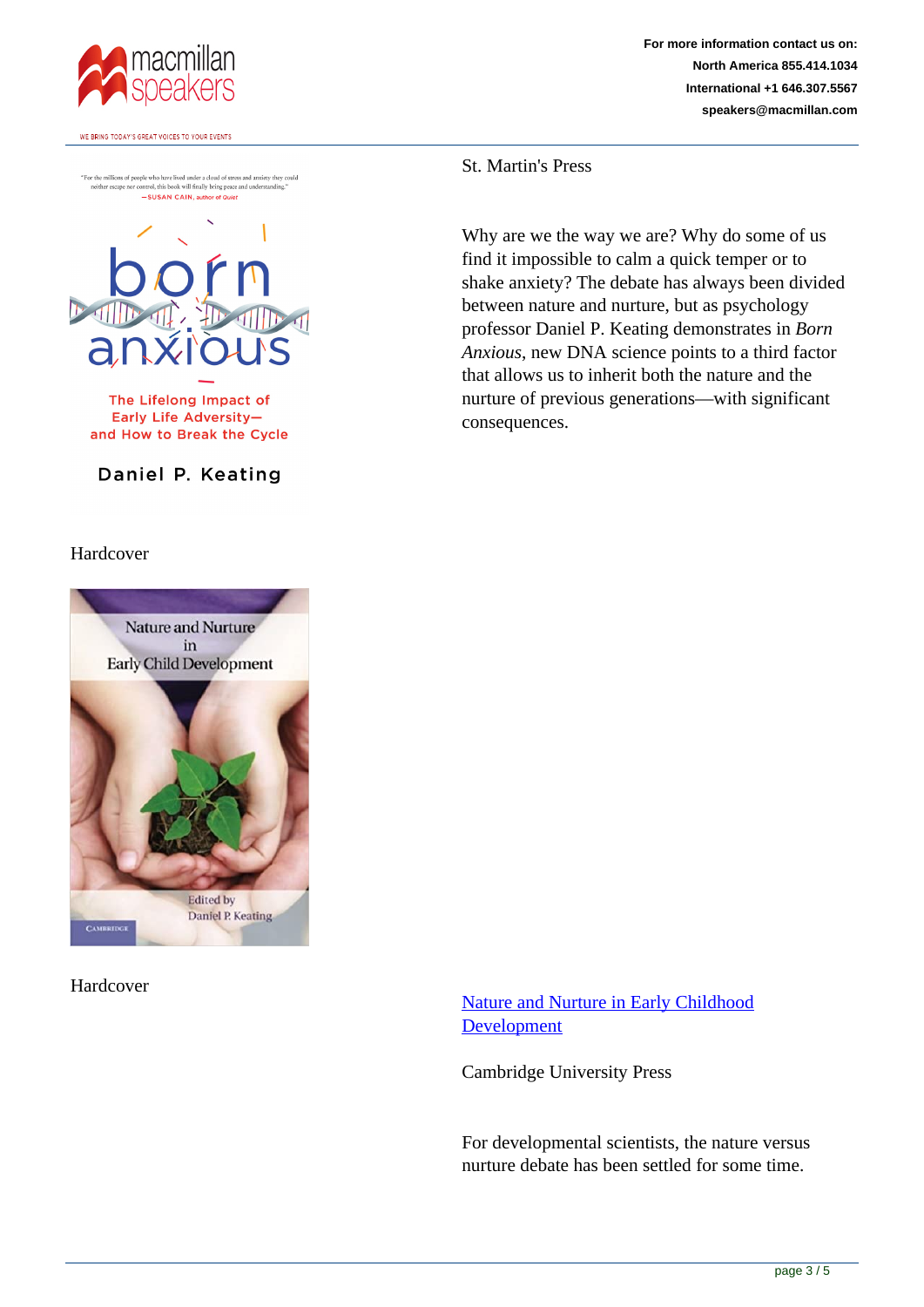

"For the millions of people who have lived under a cloud of stress and anxiety they could neither escape nor control, this book will finally bring peace and understanding." <br> -SUSAN CAIN, author of Quiet



The Lifelong Impact of Early Life Adversityand How to Break the Cycle

Daniel P. Keating

Hardcover



Hardcover

**For more information contact us on: North America 855.414.1034 International +1 646.307.5567 speakers@macmillan.com**

St. Martin's Press

Why are we the way we are? Why do some of us find it impossible to calm a quick temper or to shake anxiety? The debate has always been divided between nature and nurture, but as psychology professor Daniel P. Keating demonstrates in *Born Anxious*, new DNA science points to a third factor that allows us to inherit both the nature and the nurture of previous generations—with significant consequences.

Nature and Nurture in Early Childhood **Development** 

Cambridge University Press

For developmental scientists, the nature versus nurture debate has been settled for some time.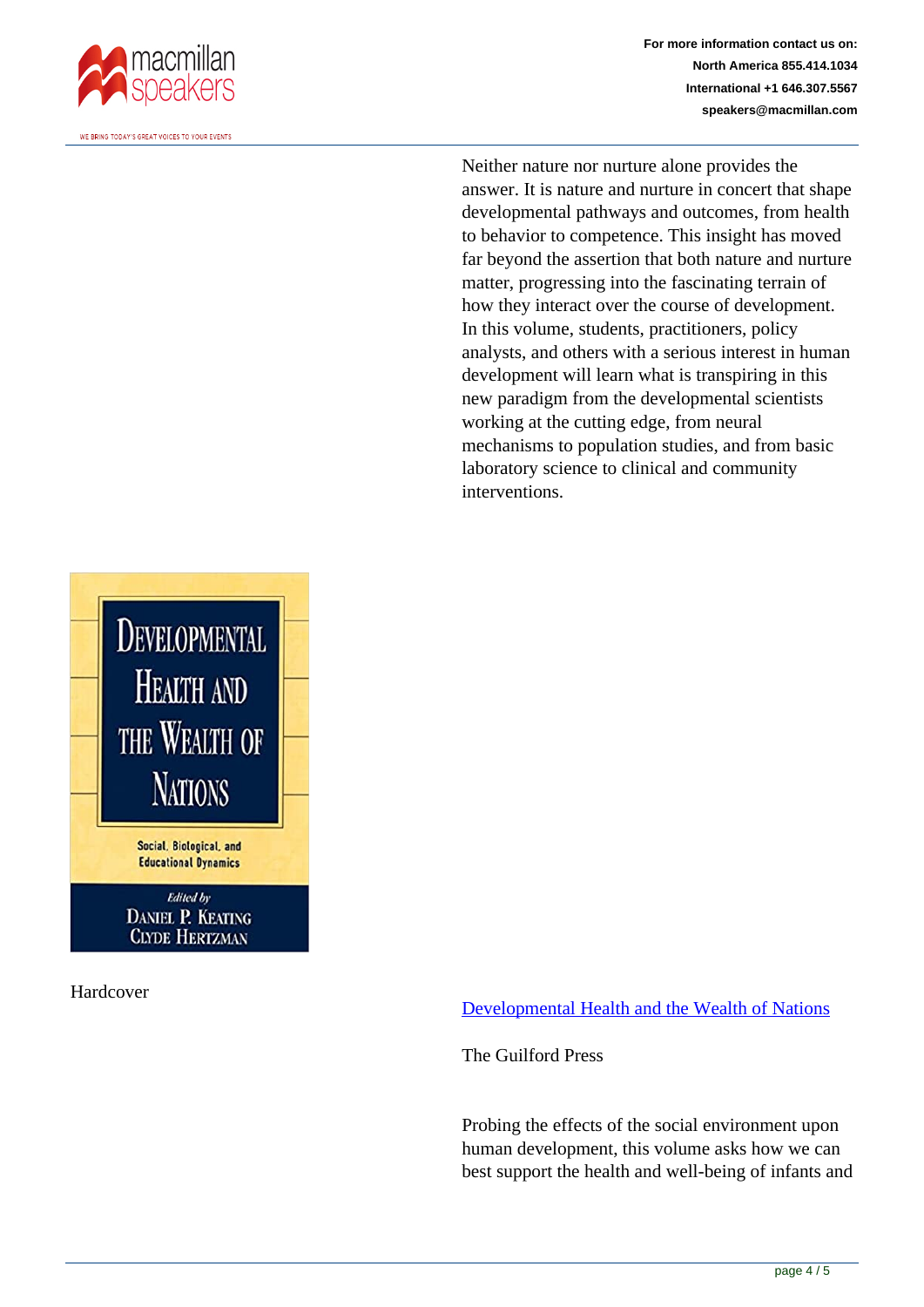

**For more information contact us on: North America 855.414.1034 International +1 646.307.5567 speakers@macmillan.com**

Neither nature nor nurture alone provides the answer. It is nature and nurture in concert that shape developmental pathways and outcomes, from health to behavior to competence. This insight has moved far beyond the assertion that both nature and nurture matter, progressing into the fascinating terrain of how they interact over the course of development. In this volume, students, practitioners, policy analysts, and others with a serious interest in human development will learn what is transpiring in this new paradigm from the developmental scientists working at the cutting edge, from neural mechanisms to population studies, and from basic laboratory science to clinical and community interventions.



Hardcover

Developmental Health and the Wealth of Nations

The Guilford Press

Probing the effects of the social environment upon human development, this volume asks how we can best support the health and well-being of infants and